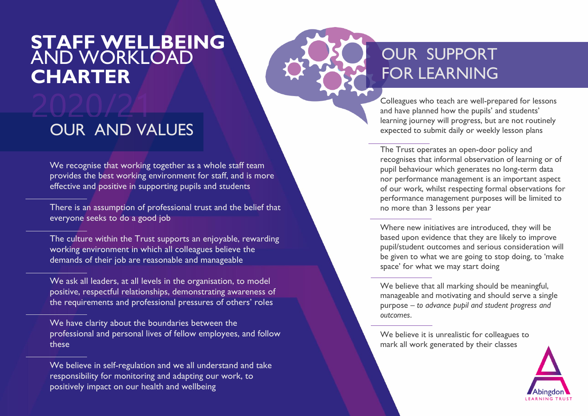### **STAFF WELLBEING** AND WORKLOAD **CHARTER EXAMPLE 2008** FOR LEARNING

# OUR AND VALUES

We recognise that working together as a whole staff team provides the best working environment for staff, and is more effective and positive in supporting pupils and students

There is an assumption of professional trust and the belief that everyone seeks to do a good job

The culture within the Trust supports an enjoyable, rewarding working environment in which all colleagues believe the demands of their job are reasonable and manageable

We ask all leaders, at all levels in the organisation, to model positive, respectful relationships, demonstrating awareness of the requirements and professional pressures of others' roles

We have clarity about the boundaries between the professional and personal lives of fellow employees, and follow these

We believe in self-regulation and we all understand and take responsibility for monitoring and adapting our work, to positively impact on our health and wellbeing

Colleagues who teach are well-prepared for lessons and have planned how the pupils' and students' learning journey will progress, but are not routinely expected to submit daily or weekly lesson plans

The Trust operates an open-door policy and recognises that informal observation of learning or of pupil behaviour which generates no long-term data nor performance management is an important aspect of our work, whilst respecting formal observations for performance management purposes will be limited to no more than 3 lessons per year

Where new initiatives are introduced, they will be based upon evidence that they are likely to improve pupil/student outcomes and serious consideration will be given to what we are going to stop doing, to 'make space' for what we may start doing

We believe that all marking should be meaningful, manageable and motivating and should serve a single purpose – *to advance pupil and student progress and outcomes*.

We believe it is unrealistic for colleagues to mark all work generated by their classes